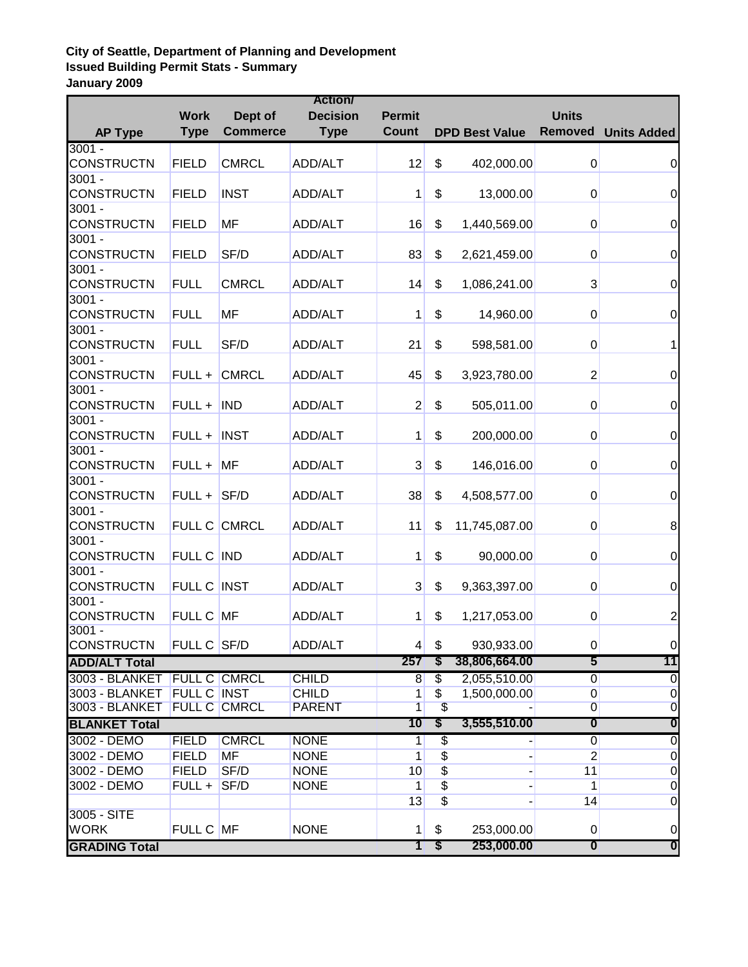## **City of Seattle, Department of Planning and Development Issued Building Permit Stats - Summary January 2009**

| <b>Action/</b>                   |                    |                     |                 |                 |                          |                       |                |                                      |
|----------------------------------|--------------------|---------------------|-----------------|-----------------|--------------------------|-----------------------|----------------|--------------------------------------|
|                                  | <b>Work</b>        | Dept of             | <b>Decision</b> | <b>Permit</b>   |                          |                       | <b>Units</b>   |                                      |
| <b>AP Type</b>                   | <b>Type</b>        | <b>Commerce</b>     | <b>Type</b>     | <b>Count</b>    |                          | <b>DPD Best Value</b> | Removed        | <b>Units Added</b>                   |
| $3001 -$                         |                    |                     |                 |                 |                          |                       |                |                                      |
| <b>CONSTRUCTN</b>                | <b>FIELD</b>       | <b>CMRCL</b>        | ADD/ALT         | 12              | \$                       | 402,000.00            | 0              | $\mathbf 0$                          |
| $3001 -$                         |                    |                     |                 |                 |                          |                       |                |                                      |
| <b>CONSTRUCTN</b>                | <b>FIELD</b>       | <b>INST</b>         | ADD/ALT         | 1               | \$                       | 13,000.00             | 0              | $\boldsymbol{0}$                     |
| $3001 -$                         |                    |                     |                 |                 |                          |                       |                |                                      |
| <b>CONSTRUCTN</b>                | <b>FIELD</b>       | MF                  | ADD/ALT         | 16              | \$                       | 1,440,569.00          | 0              | $\pmb{0}$                            |
| $3001 -$                         |                    |                     |                 |                 |                          |                       |                |                                      |
| <b>CONSTRUCTN</b>                | <b>FIELD</b>       | SF/D                | ADD/ALT         | 83              | \$                       | 2,621,459.00          | 0              | $\boldsymbol{0}$                     |
| $3001 -$                         |                    |                     |                 |                 |                          |                       |                |                                      |
| <b>CONSTRUCTN</b>                | <b>FULL</b>        | <b>CMRCL</b>        | ADD/ALT         | 14              | \$                       | 1,086,241.00          | $\overline{3}$ | $\boldsymbol{0}$                     |
| $3001 -$                         |                    |                     |                 |                 |                          |                       |                |                                      |
| <b>CONSTRUCTN</b>                | <b>FULL</b>        | <b>MF</b>           | ADD/ALT         | 1               | \$                       | 14,960.00             | 0              | $\boldsymbol{0}$                     |
| $3001 -$                         |                    |                     |                 |                 |                          |                       |                |                                      |
| CONSTRUCTN                       | <b>FULL</b>        | SF/D                | ADD/ALT         | 21              | \$                       | 598,581.00            | 0              | 1                                    |
| $3001 -$                         |                    |                     |                 |                 |                          |                       |                |                                      |
| <b>CONSTRUCTN</b>                |                    | FULL + CMRCL        | ADD/ALT         | 45              | \$                       | 3,923,780.00          | 2              | $\boldsymbol{0}$                     |
| $3001 -$                         |                    |                     |                 |                 |                          |                       |                |                                      |
| <b>CONSTRUCTN</b>                | $FULL + IND$       |                     | ADD/ALT         | $\mathbf 2$     | \$                       | 505,011.00            | 0              | $\boldsymbol{0}$                     |
| $3001 -$                         |                    |                     |                 |                 |                          |                       |                |                                      |
| <b>CONSTRUCTN</b>                | $FULL + INST$      |                     | ADD/ALT         | 1               | \$                       | 200,000.00            | $\overline{0}$ | $\mathbf 0$                          |
| $3001 -$                         |                    |                     |                 |                 |                          |                       |                |                                      |
| <b>CONSTRUCTN</b>                | $FULL + MR$        |                     | ADD/ALT         | 3               | \$                       | 146,016.00            | $\overline{0}$ | $\boldsymbol{0}$                     |
| $3001 -$                         |                    |                     |                 |                 |                          |                       |                |                                      |
| <b>CONSTRUCTN</b>                | $FULL +$ SF/D      |                     | ADD/ALT         | 38              | \$                       | 4,508,577.00          | 0              | $\mathbf 0$                          |
| $3001 -$                         |                    |                     |                 |                 |                          |                       |                |                                      |
| CONSTRUCTN                       |                    | FULL C CMRCL        | ADD/ALT         | 11              | \$                       | 11,745,087.00         | 0              | 8                                    |
| $3001 -$                         |                    |                     |                 |                 |                          |                       |                |                                      |
| <b>CONSTRUCTN</b>                | FULL C IND         |                     | ADD/ALT         | 1               | \$                       | 90,000.00             | 0              | $\boldsymbol{0}$                     |
| $3001 -$                         |                    |                     |                 |                 |                          |                       |                |                                      |
| <b>CONSTRUCTN</b>                | <b>FULL C INST</b> |                     | ADD/ALT         | 3               | \$                       | 9,363,397.00          | 0              | $\pmb{0}$                            |
| $3001 -$                         |                    |                     |                 |                 |                          |                       |                |                                      |
| <b>CONSTRUCTN</b>                | FULL C MF          |                     | <b>ADD/ALT</b>  | 1               | \$                       | 1,217,053.00          | 0              | $\overline{c}$                       |
| $3001 -$                         | FULL C SF/D        |                     | ADD/ALT         |                 |                          |                       |                |                                      |
| <b>CONSTRUCTN</b>                |                    |                     |                 | $\vert 4 \vert$ | \$                       | 930,933.00            | $\overline{0}$ | $\pmb{0}$                            |
| <b>ADD/ALT Total</b>             |                    |                     |                 | 257             | S                        | 38,806,664.00         | 5              | 11                                   |
| 3003 - BLANKET                   |                    | <b>FULL C CMRCL</b> | <b>CHILD</b>    | 8               | $\overline{\$}$          | 2,055,510.00          | $\overline{0}$ | $\pmb{0}$                            |
| 3003 - BLANKET<br>3003 - BLANKET | <b>FULL C INST</b> |                     | <b>CHILD</b>    | $\mathbf{1}$    | $\overline{\$}$          | 1,500,000.00          | $\overline{0}$ | $\overline{0}$                       |
|                                  |                    | <b>FULL C CMRCL</b> | <b>PARENT</b>   | $\overline{1}$  | $\overline{\mathcal{L}}$ |                       | $\overline{0}$ | $\overline{0}$                       |
| <b>BLANKET Total</b>             |                    |                     |                 | 10              | \$                       | 3,555,510.00          | 0              | 0                                    |
| 3002 - DEMO                      | <b>FIELD</b>       | <b>CMRCL</b>        | <b>NONE</b>     | 1               | \$                       |                       | $\overline{0}$ | $\overline{0}$                       |
| 3002 - DEMO                      | <b>FIELD</b>       | <b>MF</b>           | <b>NONE</b>     | 1               | \$                       | ٠                     | $\overline{2}$ | $\overline{0}$                       |
| 3002 - DEMO                      | <b>FIELD</b>       | SF/D                | <b>NONE</b>     | 10              | \$                       | ÷                     | 11             | $\overline{0}$                       |
| 3002 - DEMO                      | $FULL +$ SF/D      |                     | <b>NONE</b>     | 1               | \$                       |                       | 1              | $\overline{0}$                       |
| 3005 - SITE                      |                    |                     |                 | 13              | $\overline{\$}$          |                       | 14             | $\overline{0}$                       |
| <b>WORK</b>                      | FULL C MF          |                     | <b>NONE</b>     |                 |                          |                       |                |                                      |
|                                  |                    |                     |                 | 1               | \$                       | 253,000.00            | 0              | $\pmb{0}$<br>$\overline{\mathbf{0}}$ |
| <b>GRADING Total</b>             |                    |                     |                 | 1               | \$                       | 253,000.00            | 0              |                                      |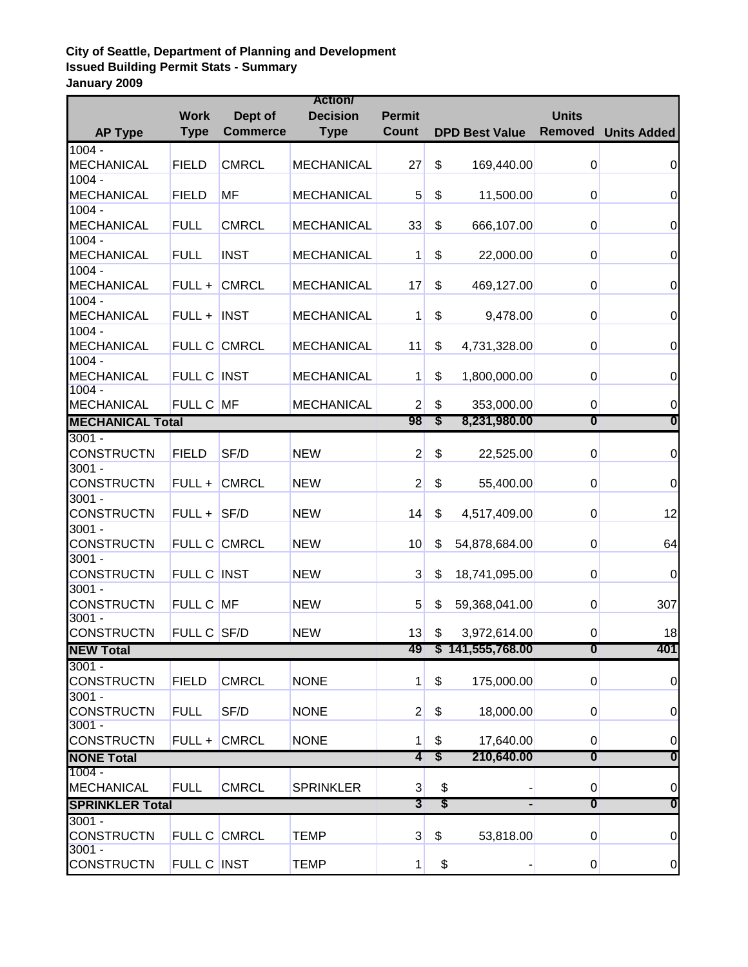## **City of Seattle, Department of Planning and Development Issued Building Permit Stats - Summary January 2009**

| <b>Action/</b>                |               |                 |                   |                |                                           |                       |                  |                    |
|-------------------------------|---------------|-----------------|-------------------|----------------|-------------------------------------------|-----------------------|------------------|--------------------|
|                               | <b>Work</b>   | Dept of         | <b>Decision</b>   | <b>Permit</b>  |                                           |                       | <b>Units</b>     |                    |
| <b>AP Type</b>                | <b>Type</b>   | <b>Commerce</b> | <b>Type</b>       | <b>Count</b>   |                                           | <b>DPD Best Value</b> | Removed          | <b>Units Added</b> |
| $1004 -$                      |               |                 |                   |                |                                           |                       |                  |                    |
| <b>MECHANICAL</b>             | <b>FIELD</b>  | <b>CMRCL</b>    | <b>MECHANICAL</b> | 27             | \$                                        | 169,440.00            | 0                | $\boldsymbol{0}$   |
| $1004 -$                      |               |                 |                   |                |                                           |                       |                  |                    |
| <b>MECHANICAL</b>             | <b>FIELD</b>  | <b>MF</b>       | <b>MECHANICAL</b> | 5              | \$                                        | 11,500.00             | $\pmb{0}$        | $\mathbf 0$        |
| $1004 -$                      |               |                 |                   |                |                                           |                       |                  |                    |
| <b>MECHANICAL</b>             | <b>FULL</b>   | <b>CMRCL</b>    | <b>MECHANICAL</b> | 33             | \$                                        | 666,107.00            | $\pmb{0}$        | $\boldsymbol{0}$   |
| $1004 -$                      |               |                 |                   |                |                                           |                       |                  |                    |
| <b>MECHANICAL</b>             | <b>FULL</b>   | <b>INST</b>     | <b>MECHANICAL</b> | 1              | \$                                        | 22,000.00             | $\boldsymbol{0}$ | $\boldsymbol{0}$   |
| $1004 -$                      |               |                 |                   |                |                                           |                       |                  |                    |
| <b>MECHANICAL</b>             |               | FULL + CMRCL    | <b>MECHANICAL</b> | 17             | \$                                        | 469,127.00            | $\boldsymbol{0}$ | $\boldsymbol{0}$   |
| $1004 -$                      |               |                 |                   |                |                                           |                       |                  |                    |
| <b>MECHANICAL</b>             | $FULL + INST$ |                 | <b>MECHANICAL</b> | 1              | \$                                        | 9,478.00              | $\boldsymbol{0}$ | $\boldsymbol{0}$   |
| $1004 -$                      |               |                 |                   |                |                                           |                       |                  |                    |
| <b>MECHANICAL</b>             |               | FULL C CMRCL    | <b>MECHANICAL</b> | 11             | \$                                        | 4,731,328.00          | $\pmb{0}$        | $\boldsymbol{0}$   |
| $1004 -$                      |               |                 |                   |                |                                           |                       |                  |                    |
| <b>MECHANICAL</b>             | FULL C INST   |                 | <b>MECHANICAL</b> | 1              | \$                                        | 1,800,000.00          | $\pmb{0}$        | $\boldsymbol{0}$   |
| $1004 -$                      |               |                 |                   |                |                                           |                       |                  |                    |
| <b>MECHANICAL</b>             | FULL C MF     |                 | <b>MECHANICAL</b> | $\overline{2}$ | \$                                        | 353,000.00            | $\pmb{0}$        | 0                  |
| <b>MECHANICAL Total</b>       |               |                 |                   | 98             | S                                         | 8,231,980.00          | $\boldsymbol{0}$ | $\boldsymbol{0}$   |
| $3001 -$                      |               |                 |                   |                |                                           |                       |                  |                    |
| <b>CONSTRUCTN</b>             | <b>FIELD</b>  | SF/D            | <b>NEW</b>        | $\overline{2}$ | \$                                        | 22,525.00             | $\pmb{0}$        | $\boldsymbol{0}$   |
| $3001 -$                      |               |                 |                   |                |                                           |                       |                  |                    |
| <b>CONSTRUCTN</b>             |               | FULL + CMRCL    | <b>NEW</b>        | $\overline{2}$ | \$                                        | 55,400.00             | $\boldsymbol{0}$ | $\boldsymbol{0}$   |
| $3001 -$                      |               |                 |                   |                |                                           |                       |                  |                    |
| <b>CONSTRUCTN</b>             | $FULL +$ SF/D |                 | <b>NEW</b>        | 14             | \$                                        | 4,517,409.00          | $\pmb{0}$        | 12                 |
| $3001 -$                      |               |                 |                   |                |                                           |                       |                  |                    |
| CONSTRUCTN                    |               | FULL C CMRCL    | <b>NEW</b>        | 10             | \$                                        | 54,878,684.00         | $\pmb{0}$        | 64                 |
| $3001 -$                      |               |                 |                   |                |                                           |                       |                  |                    |
| <b>CONSTRUCTN</b>             | FULL C INST   |                 | <b>NEW</b>        | 3              | \$                                        |                       |                  | $\boldsymbol{0}$   |
| $3001 -$                      |               |                 |                   |                |                                           | 18,741,095.00         | $\pmb{0}$        |                    |
| <b>CONSTRUCTN</b>             | FULL C MF     |                 |                   | 5              |                                           |                       |                  |                    |
| $3001 -$                      |               |                 | <b>NEW</b>        |                | \$                                        | 59,368,041.00         | $\pmb{0}$        | 307                |
| <b>CONSTRUCTN</b>             | FULL C SF/D   |                 | <b>NEW</b>        | 13             | \$                                        | 3,972,614.00          | $\boldsymbol{0}$ | 18                 |
|                               |               |                 |                   | 49             |                                           | \$141,555,768.00      | 0                | 401                |
| <b>NEW Total</b>              |               |                 |                   |                |                                           |                       |                  |                    |
| $3001 -$                      | <b>FIELD</b>  | <b>CMRCL</b>    |                   |                |                                           |                       |                  |                    |
| <b>CONSTRUCTN</b>             |               |                 | <b>NONE</b>       | 1              | \$                                        | 175,000.00            | $\pmb{0}$        | $\pmb{0}$          |
| $3001 -$                      |               |                 |                   |                |                                           |                       |                  |                    |
| <b>CONSTRUCTN</b><br>$3001 -$ | <b>FULL</b>   | SF/D            | <b>NONE</b>       | $\overline{c}$ | \$                                        | 18,000.00             | $\boldsymbol{0}$ | $\pmb{0}$          |
| <b>CONSTRUCTN</b>             |               | FULL + CMRCL    | <b>NONE</b>       |                | \$                                        |                       |                  |                    |
|                               |               |                 |                   | 1              |                                           | 17,640.00             | $\overline{0}$   | $\mathbf 0$        |
| <b>NONE Total</b>             |               |                 |                   | 4              | \$                                        | 210,640.00            | 0                | $\boldsymbol{0}$   |
| $1004 -$                      |               |                 |                   |                |                                           |                       |                  |                    |
| <b>MECHANICAL</b>             | <b>FULL</b>   | <b>CMRCL</b>    | <b>SPRINKLER</b>  | $\mathbf{3}$   | \$                                        |                       | $\overline{0}$   | $\boldsymbol{0}$   |
| <b>SPRINKLER Total</b>        |               |                 | 3                 | \$             |                                           | $\boldsymbol{0}$      | $\boldsymbol{0}$ |                    |
| $3001 -$                      |               |                 |                   |                |                                           |                       |                  |                    |
| <b>CONSTRUCTN</b>             |               | FULL C CMRCL    | <b>TEMP</b>       | 3              | \$                                        | 53,818.00             | $\overline{0}$   | $\pmb{0}$          |
| $3001 -$                      |               |                 |                   |                |                                           |                       |                  |                    |
| <b>CONSTRUCTN</b>             | FULL C INST   |                 | <b>TEMP</b>       | $\mathbf{1}$   | $\, \, \raisebox{12pt}{$\scriptstyle \$}$ |                       | $\overline{0}$   | $\overline{0}$     |